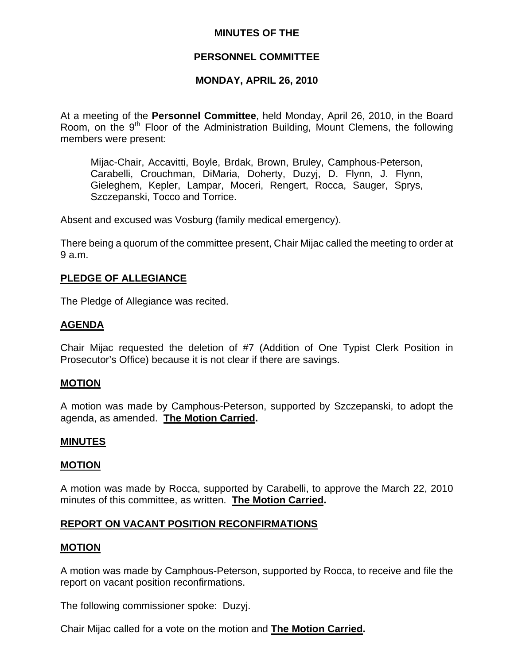#### **MINUTES OF THE**

### **PERSONNEL COMMITTEE**

### **MONDAY, APRIL 26, 2010**

At a meeting of the **Personnel Committee**, held Monday, April 26, 2010, in the Board Room, on the  $9<sup>th</sup>$  Floor of the Administration Building, Mount Clemens, the following members were present:

Mijac-Chair, Accavitti, Boyle, Brdak, Brown, Bruley, Camphous-Peterson, Carabelli, Crouchman, DiMaria, Doherty, Duzyj, D. Flynn, J. Flynn, Gieleghem, Kepler, Lampar, Moceri, Rengert, Rocca, Sauger, Sprys, Szczepanski, Tocco and Torrice.

Absent and excused was Vosburg (family medical emergency).

There being a quorum of the committee present, Chair Mijac called the meeting to order at 9 a.m.

### **PLEDGE OF ALLEGIANCE**

The Pledge of Allegiance was recited.

## **AGENDA**

Chair Mijac requested the deletion of #7 (Addition of One Typist Clerk Position in Prosecutor's Office) because it is not clear if there are savings.

#### **MOTION**

A motion was made by Camphous-Peterson, supported by Szczepanski, to adopt the agenda, as amended. **The Motion Carried.** 

#### **MINUTES**

### **MOTION**

A motion was made by Rocca, supported by Carabelli, to approve the March 22, 2010 minutes of this committee, as written. **The Motion Carried.** 

### **REPORT ON VACANT POSITION RECONFIRMATIONS**

#### **MOTION**

A motion was made by Camphous-Peterson, supported by Rocca, to receive and file the report on vacant position reconfirmations.

The following commissioner spoke: Duzyj.

Chair Mijac called for a vote on the motion and **The Motion Carried.**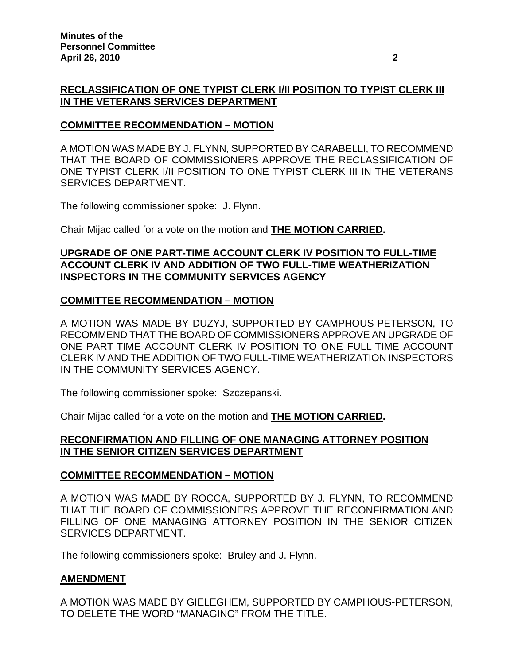## **RECLASSIFICATION OF ONE TYPIST CLERK I/II POSITION TO TYPIST CLERK III IN THE VETERANS SERVICES DEPARTMENT**

### **COMMITTEE RECOMMENDATION – MOTION**

A MOTION WAS MADE BY J. FLYNN, SUPPORTED BY CARABELLI, TO RECOMMEND THAT THE BOARD OF COMMISSIONERS APPROVE THE RECLASSIFICATION OF ONE TYPIST CLERK I/II POSITION TO ONE TYPIST CLERK III IN THE VETERANS SERVICES DEPARTMENT.

The following commissioner spoke: J. Flynn.

Chair Mijac called for a vote on the motion and **THE MOTION CARRIED.** 

### **UPGRADE OF ONE PART-TIME ACCOUNT CLERK IV POSITION TO FULL-TIME ACCOUNT CLERK IV AND ADDITION OF TWO FULL-TIME WEATHERIZATION INSPECTORS IN THE COMMUNITY SERVICES AGENCY**

### **COMMITTEE RECOMMENDATION – MOTION**

A MOTION WAS MADE BY DUZYJ, SUPPORTED BY CAMPHOUS-PETERSON, TO RECOMMEND THAT THE BOARD OF COMMISSIONERS APPROVE AN UPGRADE OF ONE PART-TIME ACCOUNT CLERK IV POSITION TO ONE FULL-TIME ACCOUNT CLERK IV AND THE ADDITION OF TWO FULL-TIME WEATHERIZATION INSPECTORS IN THE COMMUNITY SERVICES AGENCY.

The following commissioner spoke: Szczepanski.

Chair Mijac called for a vote on the motion and **THE MOTION CARRIED.** 

## **RECONFIRMATION AND FILLING OF ONE MANAGING ATTORNEY POSITION IN THE SENIOR CITIZEN SERVICES DEPARTMENT**

### **COMMITTEE RECOMMENDATION – MOTION**

A MOTION WAS MADE BY ROCCA, SUPPORTED BY J. FLYNN, TO RECOMMEND THAT THE BOARD OF COMMISSIONERS APPROVE THE RECONFIRMATION AND FILLING OF ONE MANAGING ATTORNEY POSITION IN THE SENIOR CITIZEN SERVICES DEPARTMENT.

The following commissioners spoke: Bruley and J. Flynn.

### **AMENDMENT**

A MOTION WAS MADE BY GIELEGHEM, SUPPORTED BY CAMPHOUS-PETERSON, TO DELETE THE WORD "MANAGING" FROM THE TITLE.